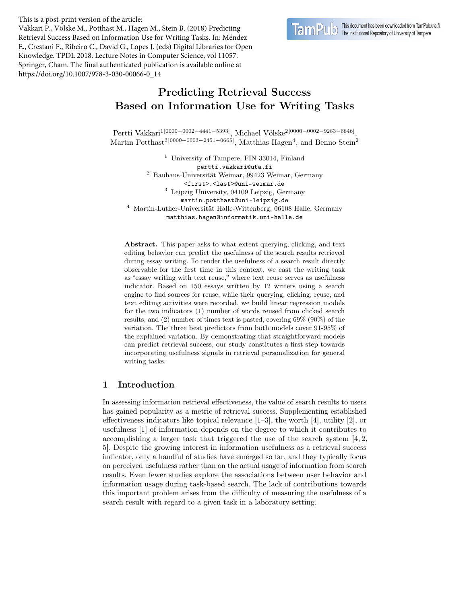This is a post-print version of the article: Vakkari P., Völske M., Potthast M., Hagen M., Stein B. (2018) Predicting Retrieval Success Based on Information Use for Writing Tasks. In: Méndez E., Crestani F., Ribeiro C., David G., Lopes J. (eds) Digital Libraries for Open Knowledge. TPDL 2018. Lecture Notes in Computer Science, vol 11057. Springer, Cham. The final authenticated publication is available online at https://doi.org/10.1007/978-3-030-00066-0\_14

# Predicting Retrieval Success Based on Information Use for Writing Tasks

Pertti Vakkari<sup>1[0000–0002–4441–5393]</sup>, Michael Völske<sup>2[0000–0002–9283–6846]</sup>, Martin Potthast<sup>3[0000–0003–2451–0665]</sup>, Matthias Hagen<sup>4</sup>, and Benno Stein<sup>2</sup>

<sup>1</sup> University of Tampere, FIN-33014, Finland pertti.vakkari@uta.fi <sup>2</sup> Bauhaus-Universität Weimar, 99423 Weimar, Germany <first>.<last>@uni-weimar.de <sup>3</sup> Leipzig University, 04109 Leipzig, Germany martin.potthast@uni-leipzig.de <sup>4</sup> Martin-Luther-Universität Halle-Wittenberg, 06108 Halle, Germany matthias.hagen@informatik.uni-halle.de

Abstract. This paper asks to what extent querying, clicking, and text editing behavior can predict the usefulness of the search results retrieved during essay writing. To render the usefulness of a search result directly observable for the first time in this context, we cast the writing task as "essay writing with text reuse," where text reuse serves as usefulness indicator. Based on 150 essays written by 12 writers using a search engine to find sources for reuse, while their querying, clicking, reuse, and text editing activities were recorded, we build linear regression models for the two indicators (1) number of words reused from clicked search results, and (2) number of times text is pasted, covering 69% (90%) of the variation. The three best predictors from both models cover 91-95% of the explained variation. By demonstrating that straightforward models can predict retrieval success, our study constitutes a first step towards incorporating usefulness signals in retrieval personalization for general writing tasks.

## 1 Introduction

In assessing information retrieval effectiveness, the value of search results to users has gained popularity as a metric of retrieval success. Supplementing established effectiveness indicators like topical relevance [1–3], the worth [4], utility [2], or usefulness [1] of information depends on the degree to which it contributes to accomplishing a larger task that triggered the use of the search system [4, 2, 5]. Despite the growing interest in information usefulness as a retrieval success indicator, only a handful of studies have emerged so far, and they typically focus on perceived usefulness rather than on the actual usage of information from search results. Even fewer studies explore the associations between user behavior and information usage during task-based search. The lack of contributions towards this important problem arises from the difficulty of measuring the usefulness of a search result with regard to a given task in a laboratory setting.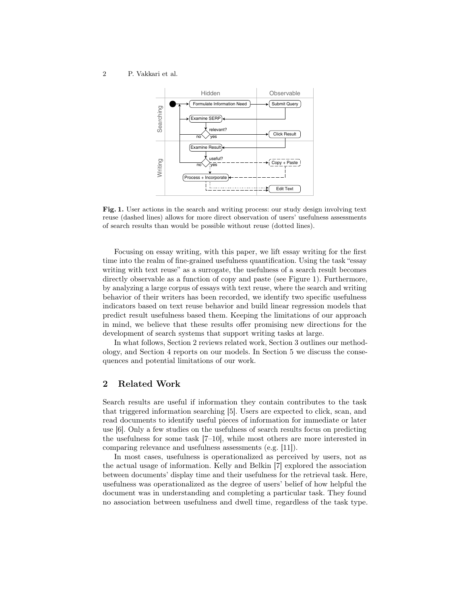

Fig. 1. User actions in the search and writing process: our study design involving text reuse (dashed lines) allows for more direct observation of users' usefulness assessments of search results than would be possible without reuse (dotted lines).

Focusing on essay writing, with this paper, we lift essay writing for the first time into the realm of fine-grained usefulness quantification. Using the task "essay writing with text reuse" as a surrogate, the usefulness of a search result becomes directly observable as a function of copy and paste (see Figure 1). Furthermore, by analyzing a large corpus of essays with text reuse, where the search and writing behavior of their writers has been recorded, we identify two specific usefulness indicators based on text reuse behavior and build linear regression models that predict result usefulness based them. Keeping the limitations of our approach in mind, we believe that these results offer promising new directions for the development of search systems that support writing tasks at large.

In what follows, Section 2 reviews related work, Section 3 outlines our methodology, and Section 4 reports on our models. In Section 5 we discuss the consequences and potential limitations of our work.

### 2 Related Work

Search results are useful if information they contain contributes to the task that triggered information searching [5]. Users are expected to click, scan, and read documents to identify useful pieces of information for immediate or later use [6]. Only a few studies on the usefulness of search results focus on predicting the usefulness for some task [7–10], while most others are more interested in comparing relevance and usefulness assessments (e.g. [11]).

In most cases, usefulness is operationalized as perceived by users, not as the actual usage of information. Kelly and Belkin [7] explored the association between documents' display time and their usefulness for the retrieval task. Here, usefulness was operationalized as the degree of users' belief of how helpful the document was in understanding and completing a particular task. They found no association between usefulness and dwell time, regardless of the task type.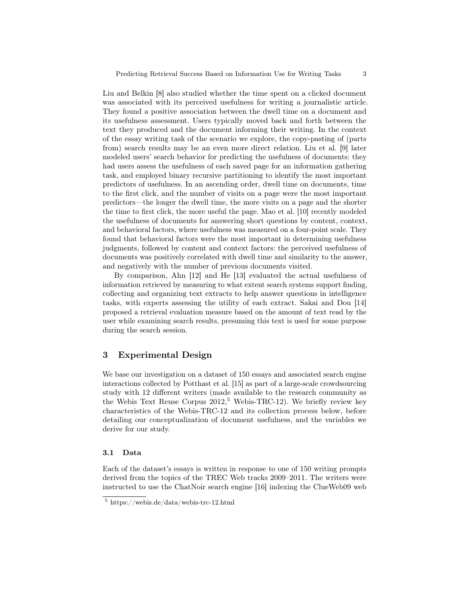Liu and Belkin [8] also studied whether the time spent on a clicked document was associated with its perceived usefulness for writing a journalistic article. They found a positive association between the dwell time on a document and its usefulness assessment. Users typically moved back and forth between the text they produced and the document informing their writing. In the context of the essay writing task of the scenario we explore, the copy-pasting of (parts from) search results may be an even more direct relation. Liu et al. [9] later modeled users' search behavior for predicting the usefulness of documents: they had users assess the usefulness of each saved page for an information gathering task, and employed binary recursive partitioning to identify the most important predictors of usefulness. In an ascending order, dwell time on documents, time to the first click, and the number of visits on a page were the most important predictors—the longer the dwell time, the more visits on a page and the shorter the time to first click, the more useful the page. Mao et al. [10] recently modeled the usefulness of documents for answering short questions by content, context, and behavioral factors, where usefulness was measured on a four-point scale. They found that behavioral factors were the most important in determining usefulness judgments, followed by content and context factors: the perceived usefulness of documents was positively correlated with dwell time and similarity to the answer, and negatively with the number of previous documents visited.

By comparison, Ahn [12] and He [13] evaluated the actual usefulness of information retrieved by measuring to what extent search systems support finding, collecting and organizing text extracts to help answer questions in intelligence tasks, with experts assessing the utility of each extract. Sakai and Dou [14] proposed a retrieval evaluation measure based on the amount of text read by the user while examining search results, presuming this text is used for some purpose during the search session.

### 3 Experimental Design

We base our investigation on a dataset of 150 essays and associated search engine interactions collected by Potthast et al. [15] as part of a large-scale crowdsourcing study with 12 different writers (made available to the research community as the Webis Text Reuse Corpus  $2012<sup>5</sup>$  Webis-TRC-12). We briefly review key characteristics of the Webis-TRC-12 and its collection process below, before detailing our conceptualization of document usefulness, and the variables we derive for our study.

### 3.1 Data

Each of the dataset's essays is written in response to one of 150 writing prompts derived from the topics of the TREC Web tracks 2009–2011. The writers were instructed to use the ChatNoir search engine [16] indexing the ClueWeb09 web

<sup>5</sup> https://webis.de/data/webis-trc-12.html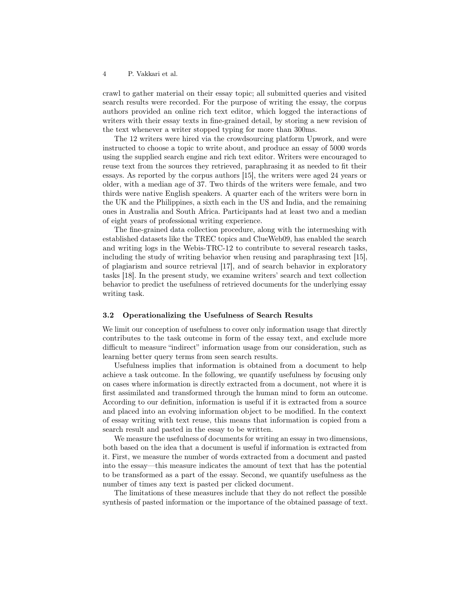crawl to gather material on their essay topic; all submitted queries and visited search results were recorded. For the purpose of writing the essay, the corpus authors provided an online rich text editor, which logged the interactions of writers with their essay texts in fine-grained detail, by storing a new revision of the text whenever a writer stopped typing for more than 300ms.

The 12 writers were hired via the crowdsourcing platform Upwork, and were instructed to choose a topic to write about, and produce an essay of 5000 words using the supplied search engine and rich text editor. Writers were encouraged to reuse text from the sources they retrieved, paraphrasing it as needed to fit their essays. As reported by the corpus authors [15], the writers were aged 24 years or older, with a median age of 37. Two thirds of the writers were female, and two thirds were native English speakers. A quarter each of the writers were born in the UK and the Philippines, a sixth each in the US and India, and the remaining ones in Australia and South Africa. Participants had at least two and a median of eight years of professional writing experience.

The fine-grained data collection procedure, along with the intermeshing with established datasets like the TREC topics and ClueWeb09, has enabled the search and writing logs in the Webis-TRC-12 to contribute to several research tasks, including the study of writing behavior when reusing and paraphrasing text [15], of plagiarism and source retrieval [17], and of search behavior in exploratory tasks [18]. In the present study, we examine writers' search and text collection behavior to predict the usefulness of retrieved documents for the underlying essay writing task.

### 3.2 Operationalizing the Usefulness of Search Results

We limit our conception of usefulness to cover only information usage that directly contributes to the task outcome in form of the essay text, and exclude more difficult to measure "indirect" information usage from our consideration, such as learning better query terms from seen search results.

Usefulness implies that information is obtained from a document to help achieve a task outcome. In the following, we quantify usefulness by focusing only on cases where information is directly extracted from a document, not where it is first assimilated and transformed through the human mind to form an outcome. According to our definition, information is useful if it is extracted from a source and placed into an evolving information object to be modified. In the context of essay writing with text reuse, this means that information is copied from a search result and pasted in the essay to be written.

We measure the usefulness of documents for writing an essay in two dimensions, both based on the idea that a document is useful if information is extracted from it. First, we measure the number of words extracted from a document and pasted into the essay—this measure indicates the amount of text that has the potential to be transformed as a part of the essay. Second, we quantify usefulness as the number of times any text is pasted per clicked document.

The limitations of these measures include that they do not reflect the possible synthesis of pasted information or the importance of the obtained passage of text.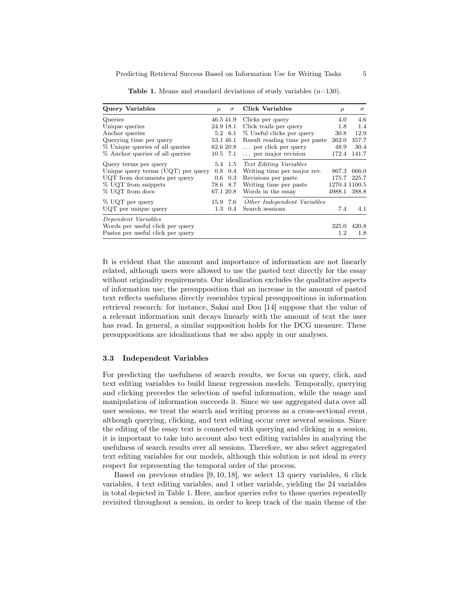| <b>Query Variables</b>               | $\mu$   | $\sigma$  | <b>Click Variables</b>        | $\mu$   | $\sigma$      |
|--------------------------------------|---------|-----------|-------------------------------|---------|---------------|
| Queries                              |         | 46.541.9  | Clicks per query              | 4.0     | 4.6           |
| Unique queries                       |         | 24.9 18.1 | Click trails per query        | 1.8     | $1.4\,$       |
| Anchor queries                       |         | 5.2 6.1   | % Useful clicks per query     | 30.8    | 12.9          |
| Querying time per query              |         | 53.1 46.1 | Result reading time per paste | 262.0   | 357.7         |
| % Unique queries of all queries      |         | 62.6 20.8 | per click per query           | 48.9    | 30.4          |
| % Anchor queries of all queries      |         | 10.5 7.1  | per major revision            | 172.4   | 141.7         |
| Query terms per query                |         | 5.4 1.5   | Text Editing Variables        |         |               |
| Unique query terms $(UQT)$ per query | 0.8     | 0.4       | Writing time per major rev.   | 867.3   | 666.0         |
| UQT from documents per query         | 0.6     | 0.3       | Revisions per paste           | 175.7   | 225.7         |
| % UQT from snippets                  | 78.6    | 8.7       | Writing time per paste        |         | 1270.4 1100.5 |
| % UQT from docs                      |         | 67.1 20.8 | Words in the essay            | 4988.1  | 388.8         |
| % UQT per query                      |         | 15.9 7.6  | Other Independent Variables   |         |               |
| $UQT$ per unique query               | $1.3\,$ | 0.4       | Search sessions               | 7.4     | 4.1           |
| Dependent Variables                  |         |           |                               |         |               |
| Words per useful click per query     |         |           |                               | 325.0   | 420.8         |
| Pastes per useful click per query    |         |           |                               | $1.2\,$ | 1.8           |

**Table 1.** Means and standard deviations of study variables  $(n=130)$ .

It is evident that the amount and importance of information are not linearly related, although users were allowed to use the pasted text directly for the essay without originality requirements. Our idealization excludes the qualitative aspects of information use; the presupposition that an increase in the amount of pasted text reflects usefulness directly resembles typical presuppositions in information retrieval research: for instance, Sakai and Dou [14] suppose that the value of a relevant information unit decays linearly with the amount of text the user has read. In general, a similar supposition holds for the DCG measure. These presuppositions are idealizations that we also apply in our analyses.

### 3.3 Independent Variables

For predicting the usefulness of search results, we focus on query, click, and text editing variables to build linear regression models. Temporally, querying and clicking precedes the selection of useful information, while the usage and manipulation of information succeeds it. Since we use aggregated data over all user sessions, we treat the search and writing process as a cross-sectional event, although querying, clicking, and text editing occur over several sessions. Since the editing of the essay text is connected with querying and clicking in a session, it is important to take into account also text editing variables in analyzing the usefulness of search results over all sessions. Therefore, we also select aggregated text editing variables for our models, although this solution is not ideal in every respect for representing the temporal order of the process.

Based on previous studies [9, 10, 18], we select 13 query variables, 6 click variables, 4 text editing variables, and 1 other variable, yielding the 24 variables in total depicted in Table 1. Here, anchor queries refer to those queries repeatedly revisited throughout a session, in order to keep track of the main theme of the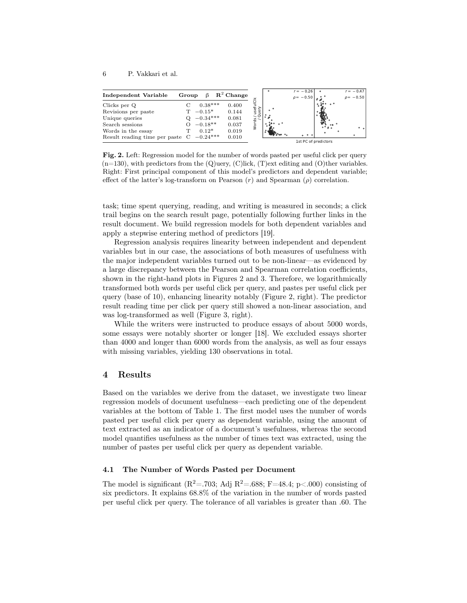| Independent Variable                                                                                                                         | Group                                                       | $\mathbf{R}^2$ Change                              |            | $r = -0.26$<br>$\rho = -0.50$ |                      | $r = -0.47$<br>$\rho = -0.50$ |
|----------------------------------------------------------------------------------------------------------------------------------------------|-------------------------------------------------------------|----------------------------------------------------|------------|-------------------------------|----------------------|-------------------------------|
| Clicks per Q<br>Revisions per paste<br>Unique queries<br>Search sessions<br>Words in the essay<br>Result reading time per paste $C$ -0.24*** | $0.38***$<br>$-0.15*$<br>$-0.34***$<br>$-0.18**$<br>$0.12*$ | 0.400<br>0.144<br>0.081<br>0.037<br>0.019<br>0.010 | Vords<br>/ | $+ + +$                       | +***                 | * +                           |
|                                                                                                                                              |                                                             |                                                    |            |                               | 1st PC of predictors |                               |

Fig. 2. Left: Regression model for the number of words pasted per useful click per query  $(n=130)$ , with predictors from the  $(Q)$ uery,  $(C)$ lick,  $(T)$ ext editing and  $(O)$ ther variables. Right: First principal component of this model's predictors and dependent variable; effect of the latter's log-transform on Pearson  $(r)$  and Spearman  $(\rho)$  correlation.

task; time spent querying, reading, and writing is measured in seconds; a click trail begins on the search result page, potentially following further links in the result document. We build regression models for both dependent variables and apply a stepwise entering method of predictors [19].

Regression analysis requires linearity between independent and dependent variables but in our case, the associations of both measures of usefulness with the major independent variables turned out to be non-linear—as evidenced by a large discrepancy between the Pearson and Spearman correlation coefficients, shown in the right-hand plots in Figures 2 and 3. Therefore, we logarithmically transformed both words per useful click per query, and pastes per useful click per query (base of 10), enhancing linearity notably (Figure 2, right). The predictor result reading time per click per query still showed a non-linear association, and was log-transformed as well (Figure 3, right).

While the writers were instructed to produce essays of about 5000 words, some essays were notably shorter or longer [18]. We excluded essays shorter than 4000 and longer than 6000 words from the analysis, as well as four essays with missing variables, yielding 130 observations in total.

### 4 Results

Based on the variables we derive from the dataset, we investigate two linear regression models of document usefulness—each predicting one of the dependent variables at the bottom of Table 1. The first model uses the number of words pasted per useful click per query as dependent variable, using the amount of text extracted as an indicator of a document's usefulness, whereas the second model quantifies usefulness as the number of times text was extracted, using the number of pastes per useful click per query as dependent variable.

### 4.1 The Number of Words Pasted per Document

The model is significant  $(R^2 = 703; \text{ Adj } R^2 = 688; \text{ F=48.4}; \text{ p} < 0.000)$  consisting of six predictors. It explains 68.8% of the variation in the number of words pasted per useful click per query. The tolerance of all variables is greater than .60. The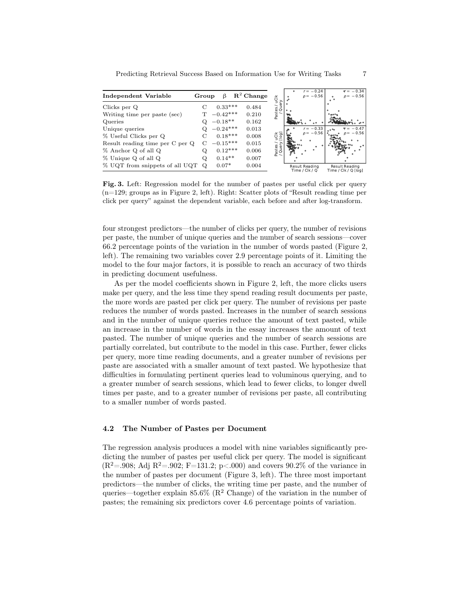| Independent Variable            | Group |            | $\mathbf{R}^2$ Change | ≚                   | $r = -0.24$<br>$\rho = -0.56$    | $r = -0.34$<br>$\rho = -0.56$          |
|---------------------------------|-------|------------|-----------------------|---------------------|----------------------------------|----------------------------------------|
| Clicks per Q                    |       | $0.33***$  | 0.484                 | 8 ರ                 |                                  |                                        |
| Writing time per paste (sec)    |       | $-0.42***$ | 0.210                 | Paste               |                                  |                                        |
| Queries                         |       | $-0.18**$  | 0.162                 |                     |                                  |                                        |
| Unique queries                  |       | $-0.24***$ | 0.013                 |                     | $r = -0.33$                      | $-0.47$<br>$+r=$                       |
| % Useful Clicks per Q           |       | $0.18***$  | 0.008                 | čā                  | $\rho = -0.56$                   | $\rho = -0.56$                         |
| Result reading time per C per Q |       | $-0.15***$ | 0.015                 |                     |                                  |                                        |
| % Anchor Q of all Q             |       | $0.12***$  | 0.006                 | Pastes /<br>/ Query |                                  |                                        |
| % Unique Q of all Q             |       | $0.14**$   | 0.007                 |                     |                                  |                                        |
| % UQT from snippets of all UQT  |       | $0.07*$    | 0.004                 |                     | Result Reading<br>Time / Clk / O | Result Reading<br>Time / Clk / O [log] |

Fig. 3. Left: Regression model for the number of pastes per useful click per query (n=129; groups as in Figure 2, left). Right: Scatter plots of "Result reading time per click per query" against the dependent variable, each before and after log-transform.

four strongest predictors—the number of clicks per query, the number of revisions per paste, the number of unique queries and the number of search sessions—cover 66.2 percentage points of the variation in the number of words pasted (Figure 2, left). The remaining two variables cover 2.9 percentage points of it. Limiting the model to the four major factors, it is possible to reach an accuracy of two thirds in predicting document usefulness.

As per the model coefficients shown in Figure 2, left, the more clicks users make per query, and the less time they spend reading result documents per paste, the more words are pasted per click per query. The number of revisions per paste reduces the number of words pasted. Increases in the number of search sessions and in the number of unique queries reduce the amount of text pasted, while an increase in the number of words in the essay increases the amount of text pasted. The number of unique queries and the number of search sessions are partially correlated, but contribute to the model in this case. Further, fewer clicks per query, more time reading documents, and a greater number of revisions per paste are associated with a smaller amount of text pasted. We hypothesize that difficulties in formulating pertinent queries lead to voluminous querying, and to a greater number of search sessions, which lead to fewer clicks, to longer dwell times per paste, and to a greater number of revisions per paste, all contributing to a smaller number of words pasted.

### 4.2 The Number of Pastes per Document

The regression analysis produces a model with nine variables significantly predicting the number of pastes per useful click per query. The model is significant  $(R^2 = 0.908; \text{Adj } R^2 = 0.902; \text{ F} = 131.2; \text{ p} < 0.000)$  and covers 90.2\% of the variance in the number of pastes per document (Figure 3, left). The three most important predictors—the number of clicks, the writing time per paste, and the number of queries—together explain 85.6% ( $\mathbb{R}^2$  Change) of the variation in the number of pastes; the remaining six predictors cover 4.6 percentage points of variation.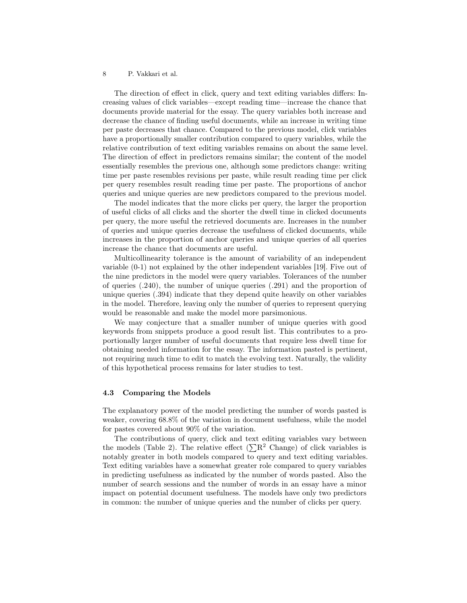The direction of effect in click, query and text editing variables differs: Increasing values of click variables—except reading time—increase the chance that documents provide material for the essay. The query variables both increase and decrease the chance of finding useful documents, while an increase in writing time per paste decreases that chance. Compared to the previous model, click variables have a proportionally smaller contribution compared to query variables, while the relative contribution of text editing variables remains on about the same level. The direction of effect in predictors remains similar; the content of the model essentially resembles the previous one, although some predictors change: writing time per paste resembles revisions per paste, while result reading time per click per query resembles result reading time per paste. The proportions of anchor queries and unique queries are new predictors compared to the previous model.

The model indicates that the more clicks per query, the larger the proportion of useful clicks of all clicks and the shorter the dwell time in clicked documents per query, the more useful the retrieved documents are. Increases in the number of queries and unique queries decrease the usefulness of clicked documents, while increases in the proportion of anchor queries and unique queries of all queries increase the chance that documents are useful.

Multicollinearity tolerance is the amount of variability of an independent variable (0-1) not explained by the other independent variables [19]. Five out of the nine predictors in the model were query variables. Tolerances of the number of queries (.240), the number of unique queries (.291) and the proportion of unique queries (.394) indicate that they depend quite heavily on other variables in the model. Therefore, leaving only the number of queries to represent querying would be reasonable and make the model more parsimonious.

We may conjecture that a smaller number of unique queries with good keywords from snippets produce a good result list. This contributes to a proportionally larger number of useful documents that require less dwell time for obtaining needed information for the essay. The information pasted is pertinent, not requiring much time to edit to match the evolving text. Naturally, the validity of this hypothetical process remains for later studies to test.

### 4.3 Comparing the Models

The explanatory power of the model predicting the number of words pasted is weaker, covering 68.8% of the variation in document usefulness, while the model for pastes covered about 90% of the variation.

The contributions of query, click and text editing variables vary between the models (Table 2). The relative effect ( $\sum R^2$  Change) of click variables is notably greater in both models compared to query and text editing variables. Text editing variables have a somewhat greater role compared to query variables in predicting usefulness as indicated by the number of words pasted. Also the number of search sessions and the number of words in an essay have a minor impact on potential document usefulness. The models have only two predictors in common: the number of unique queries and the number of clicks per query.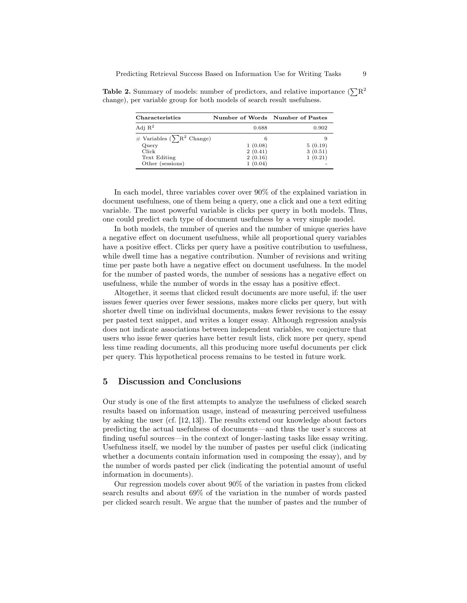| Characteristics                     |         | Number of Words Number of Pastes |
|-------------------------------------|---------|----------------------------------|
| Adj $\mathbb{R}^2$                  | 0.688   | 0.902                            |
| $\#$ Variables ( $\sum R^2$ Change) |         |                                  |
| Query                               | 1(0.08) | 5(0.19)                          |
| Click                               | 2(0.41) | 3(0.51)                          |
| Text Editing                        | 2(0.16) | 1(0.21)                          |
| Other (sessions)                    | 1(0.04) |                                  |

**Table 2.** Summary of models: number of predictors, and relative importance  $(\sum R^2)$ change), per variable group for both models of search result usefulness.

In each model, three variables cover over 90% of the explained variation in document usefulness, one of them being a query, one a click and one a text editing variable. The most powerful variable is clicks per query in both models. Thus, one could predict each type of document usefulness by a very simple model.

In both models, the number of queries and the number of unique queries have a negative effect on document usefulness, while all proportional query variables have a positive effect. Clicks per query have a positive contribution to usefulness, while dwell time has a negative contribution. Number of revisions and writing time per paste both have a negative effect on document usefulness. In the model for the number of pasted words, the number of sessions has a negative effect on usefulness, while the number of words in the essay has a positive effect.

Altogether, it seems that clicked result documents are more useful, if: the user issues fewer queries over fewer sessions, makes more clicks per query, but with shorter dwell time on individual documents, makes fewer revisions to the essay per pasted text snippet, and writes a longer essay. Although regression analysis does not indicate associations between independent variables, we conjecture that users who issue fewer queries have better result lists, click more per query, spend less time reading documents, all this producing more useful documents per click per query. This hypothetical process remains to be tested in future work.

### 5 Discussion and Conclusions

Our study is one of the first attempts to analyze the usefulness of clicked search results based on information usage, instead of measuring perceived usefulness by asking the user (cf. [12, 13]). The results extend our knowledge about factors predicting the actual usefulness of documents—and thus the user's success at finding useful sources—in the context of longer-lasting tasks like essay writing. Usefulness itself, we model by the number of pastes per useful click (indicating whether a documents contain information used in composing the essay), and by the number of words pasted per click (indicating the potential amount of useful information in documents).

Our regression models cover about 90% of the variation in pastes from clicked search results and about 69% of the variation in the number of words pasted per clicked search result. We argue that the number of pastes and the number of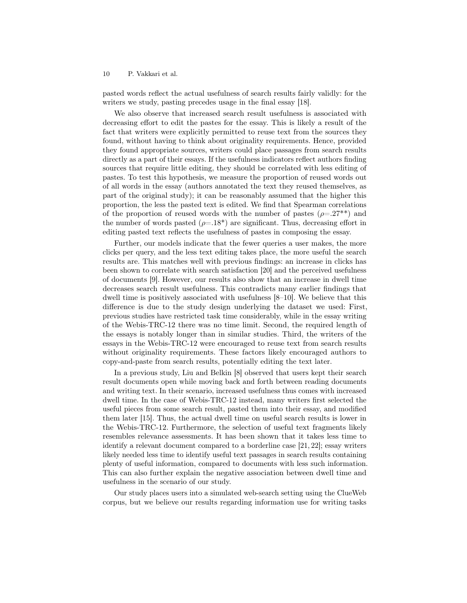pasted words reflect the actual usefulness of search results fairly validly: for the writers we study, pasting precedes usage in the final essay [18].

We also observe that increased search result usefulness is associated with decreasing effort to edit the pastes for the essay. This is likely a result of the fact that writers were explicitly permitted to reuse text from the sources they found, without having to think about originality requirements. Hence, provided they found appropriate sources, writers could place passages from search results directly as a part of their essays. If the usefulness indicators reflect authors finding sources that require little editing, they should be correlated with less editing of pastes. To test this hypothesis, we measure the proportion of reused words out of all words in the essay (authors annotated the text they reused themselves, as part of the original study); it can be reasonably assumed that the higher this proportion, the less the pasted text is edited. We find that Spearman correlations of the proportion of reused words with the number of pastes  $(\rho = .27^{**})$  and the number of words pasted ( $\rho = 18^*$ ) are significant. Thus, decreasing effort in editing pasted text reflects the usefulness of pastes in composing the essay.

Further, our models indicate that the fewer queries a user makes, the more clicks per query, and the less text editing takes place, the more useful the search results are. This matches well with previous findings: an increase in clicks has been shown to correlate with search satisfaction [20] and the perceived usefulness of documents [9]. However, our results also show that an increase in dwell time decreases search result usefulness. This contradicts many earlier findings that dwell time is positively associated with usefulness [8–10]. We believe that this difference is due to the study design underlying the dataset we used: First, previous studies have restricted task time considerably, while in the essay writing of the Webis-TRC-12 there was no time limit. Second, the required length of the essays is notably longer than in similar studies. Third, the writers of the essays in the Webis-TRC-12 were encouraged to reuse text from search results without originality requirements. These factors likely encouraged authors to copy-and-paste from search results, potentially editing the text later.

In a previous study, Liu and Belkin [8] observed that users kept their search result documents open while moving back and forth between reading documents and writing text. In their scenario, increased usefulness thus comes with increased dwell time. In the case of Webis-TRC-12 instead, many writers first selected the useful pieces from some search result, pasted them into their essay, and modified them later [15]. Thus, the actual dwell time on useful search results is lower in the Webis-TRC-12. Furthermore, the selection of useful text fragments likely resembles relevance assessments. It has been shown that it takes less time to identify a relevant document compared to a borderline case [21, 22]; essay writers likely needed less time to identify useful text passages in search results containing plenty of useful information, compared to documents with less such information. This can also further explain the negative association between dwell time and usefulness in the scenario of our study.

Our study places users into a simulated web-search setting using the ClueWeb corpus, but we believe our results regarding information use for writing tasks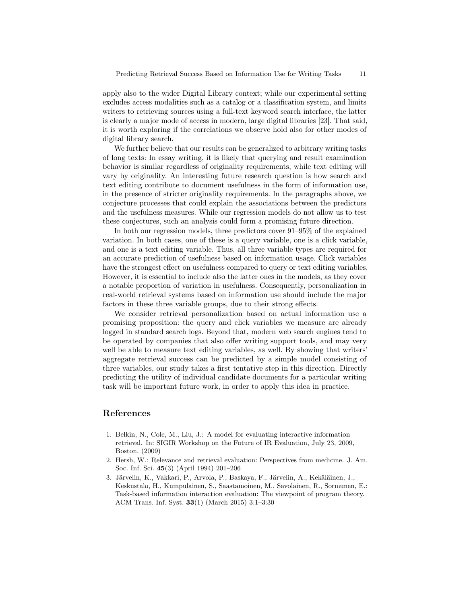apply also to the wider Digital Library context; while our experimental setting excludes access modalities such as a catalog or a classification system, and limits writers to retrieving sources using a full-text keyword search interface, the latter is clearly a major mode of access in modern, large digital libraries [23]. That said, it is worth exploring if the correlations we observe hold also for other modes of digital library search.

We further believe that our results can be generalized to arbitrary writing tasks of long texts: In essay writing, it is likely that querying and result examination behavior is similar regardless of originality requirements, while text editing will vary by originality. An interesting future research question is how search and text editing contribute to document usefulness in the form of information use, in the presence of stricter originality requirements. In the paragraphs above, we conjecture processes that could explain the associations between the predictors and the usefulness measures. While our regression models do not allow us to test these conjectures, such an analysis could form a promising future direction.

In both our regression models, three predictors cover 91–95% of the explained variation. In both cases, one of these is a query variable, one is a click variable, and one is a text editing variable. Thus, all three variable types are required for an accurate prediction of usefulness based on information usage. Click variables have the strongest effect on usefulness compared to query or text editing variables. However, it is essential to include also the latter ones in the models, as they cover a notable proportion of variation in usefulness. Consequently, personalization in real-world retrieval systems based on information use should include the major factors in these three variable groups, due to their strong effects.

We consider retrieval personalization based on actual information use a promising proposition: the query and click variables we measure are already logged in standard search logs. Beyond that, modern web search engines tend to be operated by companies that also offer writing support tools, and may very well be able to measure text editing variables, as well. By showing that writers' aggregate retrieval success can be predicted by a simple model consisting of three variables, our study takes a first tentative step in this direction. Directly predicting the utility of individual candidate documents for a particular writing task will be important future work, in order to apply this idea in practice.

### References

- 1. Belkin, N., Cole, M., Liu, J.: A model for evaluating interactive information retrieval. In: SIGIR Workshop on the Future of IR Evaluation, July 23, 2009, Boston. (2009)
- 2. Hersh, W.: Relevance and retrieval evaluation: Perspectives from medicine. J. Am. Soc. Inf. Sci. 45(3) (April 1994) 201–206
- 3. Järvelin, K., Vakkari, P., Arvola, P., Baskaya, F., Järvelin, A., Kekäläinen, J., Keskustalo, H., Kumpulainen, S., Saastamoinen, M., Savolainen, R., Sormunen, E.: Task-based information interaction evaluation: The viewpoint of program theory. ACM Trans. Inf. Syst. 33(1) (March 2015) 3:1–3:30